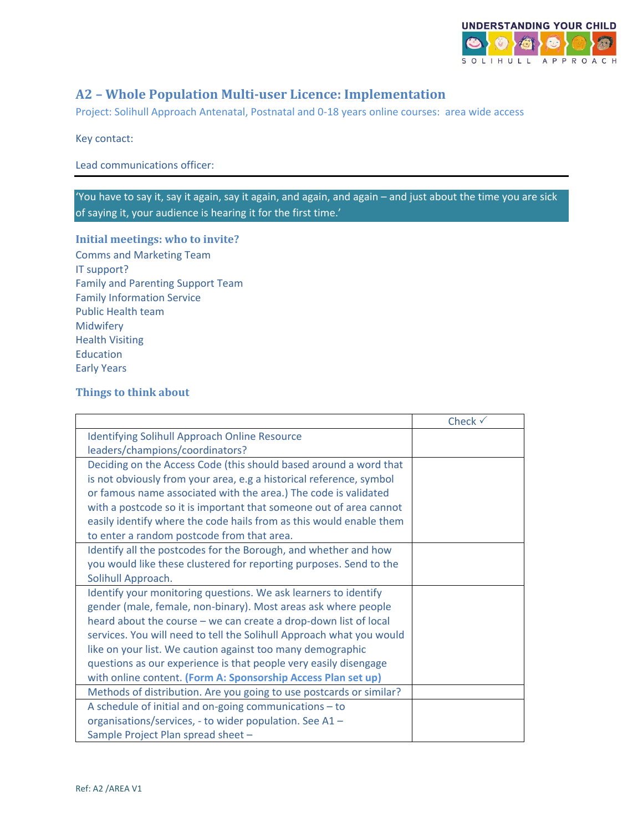

# **A2 – Whole Population Multi-user Licence: Implementation**

Project: Solihull Approach Antenatal, Postnatal and 0-18 years online courses: area wide access

Key contact:

Lead communications officer:

'You have to say it, say it again, say it again, and again, and again – and just about the time you are sick of saying it, your audience is hearing it for the first time.'

### **Initial meetings: who to invite?**

Comms and Marketing Team IT support? Family and Parenting Support Team Family Information Service Public Health team Midwifery Health Visiting **Education** Early Years

### **Things to think about**

|                                                                      | Check $\checkmark$ |
|----------------------------------------------------------------------|--------------------|
| <b>Identifying Solihull Approach Online Resource</b>                 |                    |
| leaders/champions/coordinators?                                      |                    |
| Deciding on the Access Code (this should based around a word that    |                    |
| is not obviously from your area, e.g a historical reference, symbol  |                    |
| or famous name associated with the area.) The code is validated      |                    |
| with a postcode so it is important that someone out of area cannot   |                    |
| easily identify where the code hails from as this would enable them  |                    |
| to enter a random postcode from that area.                           |                    |
| Identify all the postcodes for the Borough, and whether and how      |                    |
| you would like these clustered for reporting purposes. Send to the   |                    |
| Solihull Approach.                                                   |                    |
| Identify your monitoring questions. We ask learners to identify      |                    |
| gender (male, female, non-binary). Most areas ask where people       |                    |
| heard about the course - we can create a drop-down list of local     |                    |
| services. You will need to tell the Solihull Approach what you would |                    |
| like on your list. We caution against too many demographic           |                    |
| questions as our experience is that people very easily disengage     |                    |
| with online content. (Form A: Sponsorship Access Plan set up)        |                    |
| Methods of distribution. Are you going to use postcards or similar?  |                    |
| A schedule of initial and on-going communications $-$ to             |                    |
| organisations/services, - to wider population. See A1 -              |                    |
| Sample Project Plan spread sheet -                                   |                    |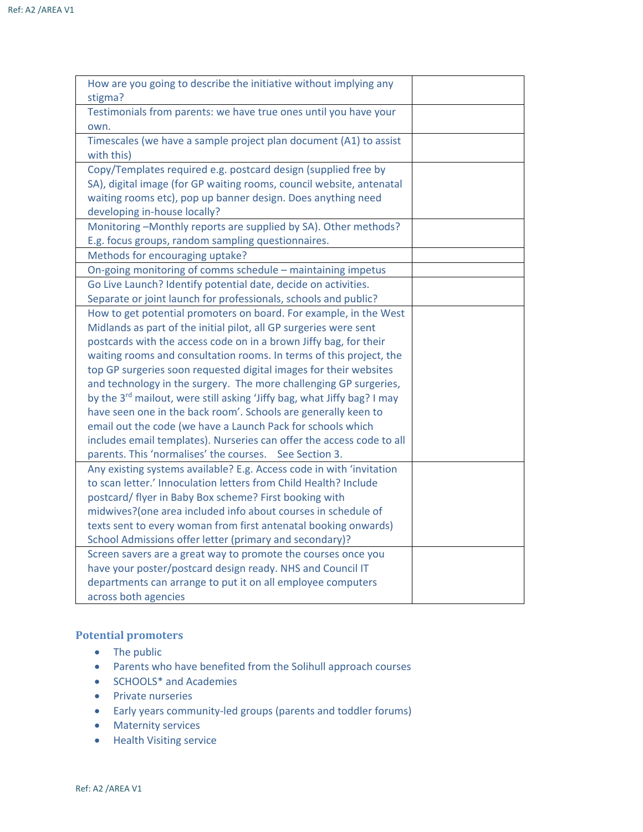| How are you going to describe the initiative without implying any                   |  |
|-------------------------------------------------------------------------------------|--|
| stigma?                                                                             |  |
| Testimonials from parents: we have true ones until you have your                    |  |
| own.                                                                                |  |
| Timescales (we have a sample project plan document (A1) to assist                   |  |
| with this)                                                                          |  |
| Copy/Templates required e.g. postcard design (supplied free by                      |  |
| SA), digital image (for GP waiting rooms, council website, antenatal                |  |
| waiting rooms etc), pop up banner design. Does anything need                        |  |
| developing in-house locally?                                                        |  |
| Monitoring-Monthly reports are supplied by SA). Other methods?                      |  |
| E.g. focus groups, random sampling questionnaires.                                  |  |
| Methods for encouraging uptake?                                                     |  |
| On-going monitoring of comms schedule - maintaining impetus                         |  |
| Go Live Launch? Identify potential date, decide on activities.                      |  |
| Separate or joint launch for professionals, schools and public?                     |  |
| How to get potential promoters on board. For example, in the West                   |  |
| Midlands as part of the initial pilot, all GP surgeries were sent                   |  |
| postcards with the access code on in a brown Jiffy bag, for their                   |  |
| waiting rooms and consultation rooms. In terms of this project, the                 |  |
| top GP surgeries soon requested digital images for their websites                   |  |
| and technology in the surgery. The more challenging GP surgeries,                   |  |
| by the 3 <sup>rd</sup> mailout, were still asking 'Jiffy bag, what Jiffy bag? I may |  |
| have seen one in the back room'. Schools are generally keen to                      |  |
| email out the code (we have a Launch Pack for schools which                         |  |
| includes email templates). Nurseries can offer the access code to all               |  |
| parents. This 'normalises' the courses. See Section 3.                              |  |
| Any existing systems available? E.g. Access code in with 'invitation                |  |
| to scan letter.' Innoculation letters from Child Health? Include                    |  |
| postcard/ flyer in Baby Box scheme? First booking with                              |  |
| midwives?(one area included info about courses in schedule of                       |  |
| texts sent to every woman from first antenatal booking onwards)                     |  |
| School Admissions offer letter (primary and secondary)?                             |  |
| Screen savers are a great way to promote the courses once you                       |  |
| have your poster/postcard design ready. NHS and Council IT                          |  |
| departments can arrange to put it on all employee computers                         |  |
| across both agencies                                                                |  |

## **Potential promoters**

- The public
- Parents who have benefited from the Solihull approach courses
- SCHOOLS\* and Academies
- Private nurseries
- Early years community-led groups (parents and toddler forums)
- Maternity services
- Health Visiting service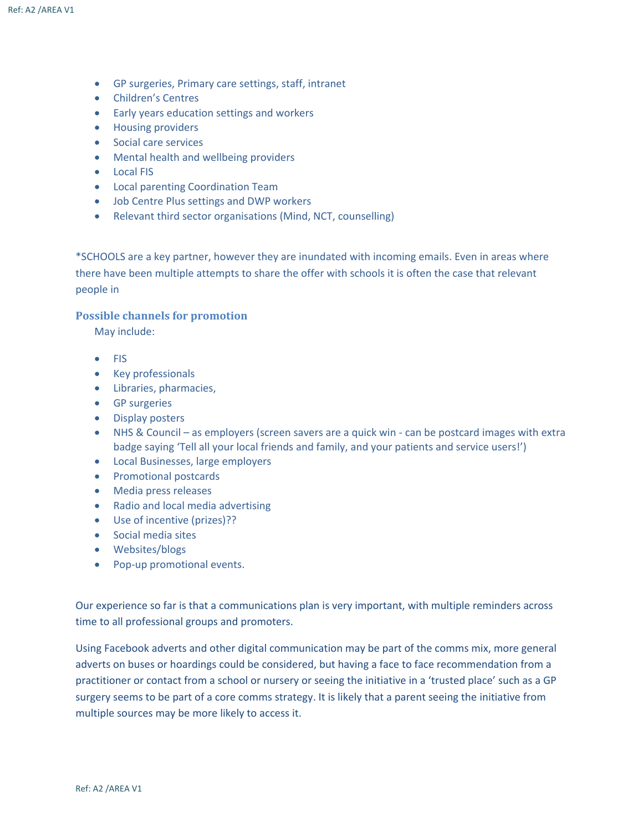- GP surgeries, Primary care settings, staff, intranet
- Children's Centres
- Early years education settings and workers
- Housing providers
- Social care services
- Mental health and wellbeing providers
- Local FIS
- Local parenting Coordination Team
- Job Centre Plus settings and DWP workers
- Relevant third sector organisations (Mind, NCT, counselling)

\*SCHOOLS are a key partner, however they are inundated with incoming emails. Even in areas where there have been multiple attempts to share the offer with schools it is often the case that relevant people in

#### **Possible channels for promotion**

May include:

- FIS
- Key professionals
- Libraries, pharmacies,
- GP surgeries
- Display posters
- NHS & Council as employers (screen savers are a quick win can be postcard images with extra badge saying 'Tell all your local friends and family, and your patients and service users!')
- Local Businesses, large employers
- Promotional postcards
- Media press releases
- Radio and local media advertising
- Use of incentive (prizes)??
- Social media sites
- Websites/blogs
- Pop-up promotional events.

Our experience so far is that a communications plan is very important, with multiple reminders across time to all professional groups and promoters.

Using Facebook adverts and other digital communication may be part of the comms mix, more general adverts on buses or hoardings could be considered, but having a face to face recommendation from a practitioner or contact from a school or nursery or seeing the initiative in a 'trusted place' such as a GP surgery seems to be part of a core comms strategy. It is likely that a parent seeing the initiative from multiple sources may be more likely to access it.